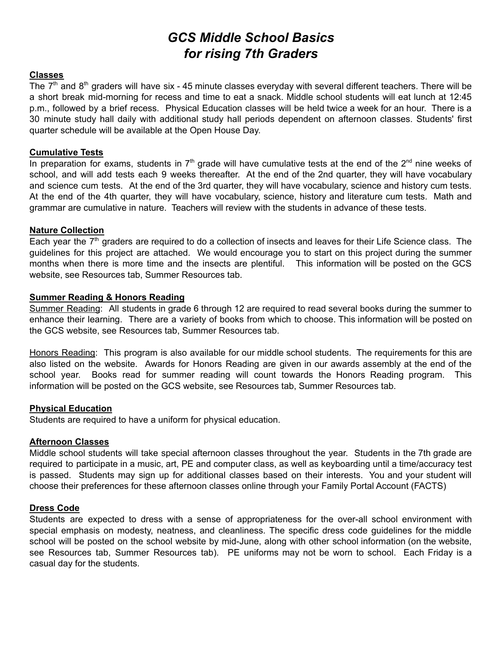# *GCS Middle School Basics for rising 7th Graders*

# **Classes**

The  $7<sup>th</sup>$  and  $8<sup>th</sup>$  graders will have six - 45 minute classes everyday with several different teachers. There will be a short break mid-morning for recess and time to eat a snack. Middle school students will eat lunch at 12:45 p.m., followed by a brief recess. Physical Education classes will be held twice a week for an hour. There is a 30 minute study hall daily with additional study hall periods dependent on afternoon classes. Students' first quarter schedule will be available at the Open House Day.

### **Cumulative Tests**

In preparation for exams, students in  $7<sup>th</sup>$  grade will have cumulative tests at the end of the  $2<sup>nd</sup>$  nine weeks of school, and will add tests each 9 weeks thereafter. At the end of the 2nd quarter, they will have vocabulary and science cum tests. At the end of the 3rd quarter, they will have vocabulary, science and history cum tests. At the end of the 4th quarter, they will have vocabulary, science, history and literature cum tests. Math and grammar are cumulative in nature. Teachers will review with the students in advance of these tests.

# **Nature Collection**

Each year the  $7<sup>th</sup>$  graders are required to do a collection of insects and leaves for their Life Science class. The guidelines for this project are attached. We would encourage you to start on this project during the summer months when there is more time and the insects are plentiful. This information will be posted on the GCS website, see Resources tab, Summer Resources tab.

# **Summer Reading & Honors Reading**

Summer Reading: All students in grade 6 through 12 are required to read several books during the summer to enhance their learning. There are a variety of books from which to choose. This information will be posted on the GCS website, see Resources tab, Summer Resources tab.

Honors Reading: This program is also available for our middle school students. The requirements for this are also listed on the website. Awards for Honors Reading are given in our awards assembly at the end of the school year. Books read for summer reading will count towards the Honors Reading program. This information will be posted on the GCS website, see Resources tab, Summer Resources tab.

# **Physical Education**

Students are required to have a uniform for physical education.

# **Afternoon Classes**

Middle school students will take special afternoon classes throughout the year. Students in the 7th grade are required to participate in a music, art, PE and computer class, as well as keyboarding until a time/accuracy test is passed. Students may sign up for additional classes based on their interests. You and your student will choose their preferences for these afternoon classes online through your Family Portal Account (FACTS)

#### **Dress Code**

Students are expected to dress with a sense of appropriateness for the over-all school environment with special emphasis on modesty, neatness, and cleanliness. The specific dress code guidelines for the middle school will be posted on the school website by mid-June, along with other school information (on the website, see Resources tab, Summer Resources tab). PE uniforms may not be worn to school. Each Friday is a casual day for the students.